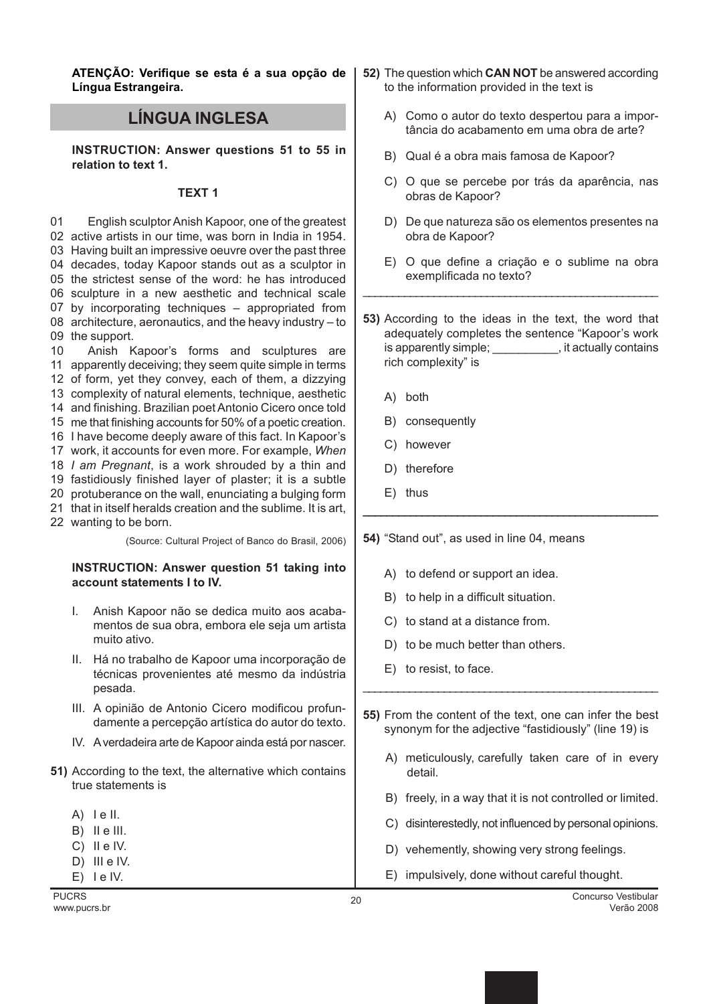ATENÇÃO: Verifique se esta é a sua opção de Língua Estrangeira.

## LÍNGUA INGLESA

INSTRUCTION: Answer questions 51 to 55 in relation to text 1.

## TEXT 1

01 active artists in our time, was born in India in 1954. Having built an impressive oeuvre over the past three decades, today Kapoor stands out as a sculptor in the strictest sense of the word: he has introduced sculpture in a new aesthetic and technical scale by incorporating techniques – appropriated from architecture, aeronautics, and the heavy industry – to the support. English sculptor Anish Kapoor, one of the greatest

10 apparently deceiving; they seem quite simple in terms of form, yet they convey, each of them, a dizzying complexity of natural elements, technique, aesthetic and finishing. Brazilian poet Antonio Cicero once told me that finishing accounts for 50% of a poetic creation. I have become deeply aware of this fact. In Kapoor's 17 work, it accounts for even more. For example, When 18 I am Pregnant, is a work shrouded by a thin and fastidiously finished layer of plaster; it is a subtle protuberance on the wall, enunciating a bulging form Anish Kapoor's forms and sculptures are

- 21 that in itself heralds creation and the sublime. It is art,
- 22 wanting to be born.

(Source: Cultural Project of Banco do Brasil, 2006)

## INSTRUCTION: Answer question 51 taking into account statements I to IV.

- I. Anish Kapoor não se dedica muito aos acabamentos de sua obra, embora ele seja um artista muito ativo.
- II. Há no trabalho de Kapoor uma incorporação de técnicas provenientes até mesmo da indústria pesada.
- III. A opinião de Antonio Cicero modificou profundamente a percepção artística do autor do texto.
- IV. A verdadeira arte de Kapoor ainda está por nascer.
- 51) According to the text, the alternative which contains true statements is
	- A) I e II.
	- B) II e III.
	- C) II e IV.
	- D) III e IV.
	- $E)$  le IV.
- 52) The question which CAN NOT be answered according to the information provided in the text is
	- A) Como o autor do texto despertou para a importância do acabamento em uma obra de arte?
	- B) Qual é a obra mais famosa de Kapoor?
	- C) O que se percebe por trás da aparência, nas obras de Kapoor?
	- D) De que natureza são os elementos presentes na obra de Kapoor?
	- E) O que define a criação e o sublime na obra exemplificada no texto?
- 53) According to the ideas in the text, the word that adequately completes the sentence "Kapoor's work is apparently simple; example is apparently simple; rich complexity" is

\_\_\_\_\_\_\_\_\_\_\_\_\_\_\_\_\_\_\_\_\_\_\_\_\_\_\_\_\_\_\_\_\_\_\_\_\_\_\_\_\_\_\_\_\_\_\_\_\_\_

\_\_\_\_\_\_\_\_\_\_\_\_\_\_\_\_\_\_\_\_\_\_\_\_\_\_\_\_\_\_\_\_\_\_\_\_\_\_\_\_\_\_\_\_\_\_\_\_\_\_

- A) both
- B) consequently
- C) however
- D) therefore
- E) thus

54) "Stand out", as used in line 04, means

- A) to defend or support an idea.
- B) to help in a difficult situation.
- C) to stand at a distance from.
- D) to be much better than others.
- E) to resist, to face.
- 55) From the content of the text, one can infer the best synonym for the adjective "fastidiously" (line 19) is

\_\_\_\_\_\_\_\_\_\_\_\_\_\_\_\_\_\_\_\_\_\_\_\_\_\_\_\_\_\_\_\_\_\_\_\_\_\_\_\_\_\_\_\_\_\_\_\_\_\_\_

- A) meticulously, carefully taken care of in every detail.
- B) freely, in a way that it is not controlled or limited.
- C) disinterestedly, not influenced by personal opinions.
- D) vehemently, showing very strong feelings.
- E) impulsively, done without careful thought.